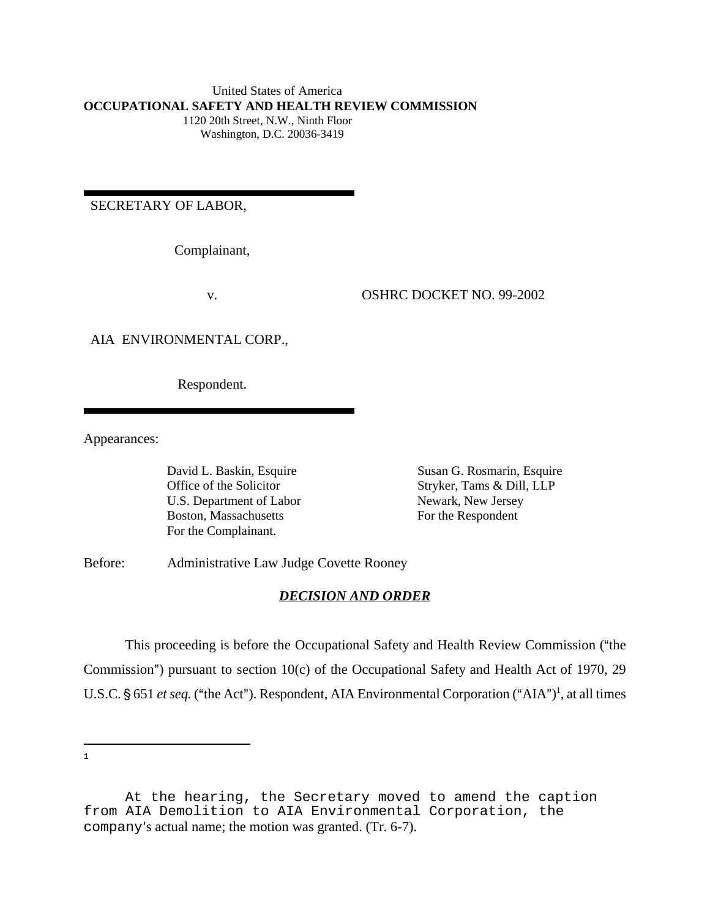#### United States of America **OCCUPATIONAL SAFETY AND HEALTH REVIEW COMMISSION** 1120 20th Street, N.W., Ninth Floor Washington, D.C. 20036-3419

SECRETARY OF LABOR,

Complainant,

v. OSHRC DOCKET NO. 99-2002

#### AIA ENVIRONMENTAL CORP.,

Respondent.

Appearances:

U.S. Department of Labor Newark, New Jersey Boston, Massachusetts For the Respondent For the Complainant.

David L. Baskin, Esquire Susan G. Rosmarin, Esquire Office of the Solicitor Stryker, Tams & Dill, LLP

Before: Administrative Law Judge Covette Rooney

### *DECISION AND ORDER*

This proceeding is before the Occupational Safety and Health Review Commission ("the Commission") pursuant to section  $10(c)$  of the Occupational Safety and Health Act of 1970, 29 U.S.C. § 651 *et seq*. ("the Act"). Respondent, AIA Environmental Corporation ("AIA")<sup>1</sup>, at all times

At the hearing, the Secretary moved to amend the caption from AIA Demolition to AIA Environmental Corporation, the company's actual name; the motion was granted. (Tr. 6-7).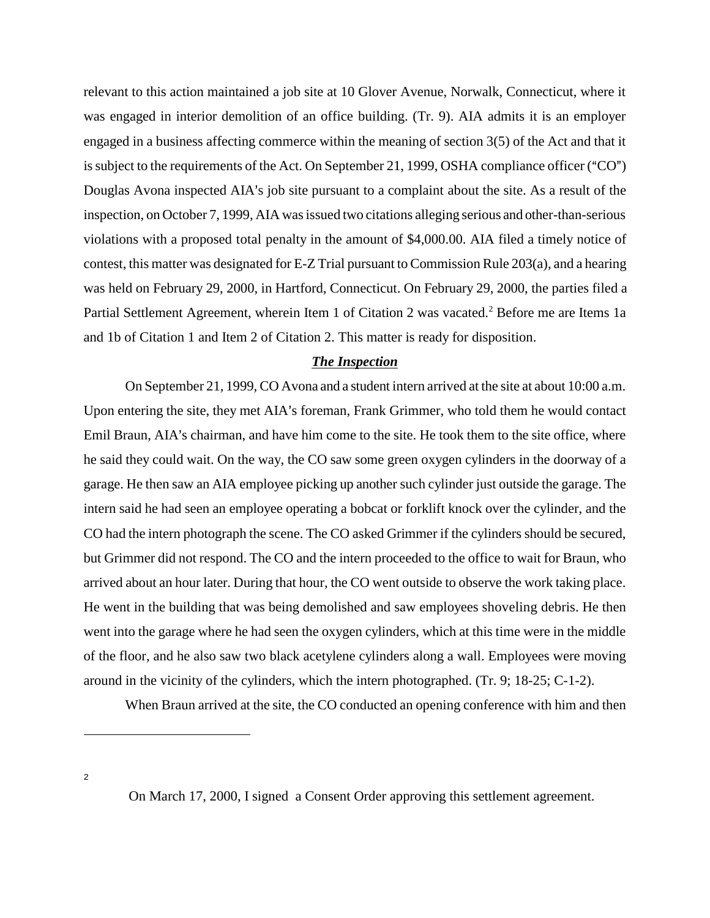relevant to this action maintained a job site at 10 Glover Avenue, Norwalk, Connecticut, where it was engaged in interior demolition of an office building. (Tr. 9). AIA admits it is an employer engaged in a business affecting commerce within the meaning of section 3(5) of the Act and that it is subject to the requirements of the Act. On September 21, 1999, OSHA compliance officer ( $"CO"$ ) Douglas Avona inspected AIA's job site pursuant to a complaint about the site. As a result of the inspection, on October 7, 1999, AIA was issued two citations alleging serious and other-than-serious violations with a proposed total penalty in the amount of \$4,000.00. AIA filed a timely notice of contest, this matter was designated for E-Z Trial pursuant to Commission Rule 203(a), and a hearing was held on February 29, 2000, in Hartford, Connecticut. On February 29, 2000, the parties filed a Partial Settlement Agreement, wherein Item 1 of Citation 2 was vacated.<sup>2</sup> Before me are Items 1a and 1b of Citation 1 and Item 2 of Citation 2. This matter is ready for disposition.

### *The Inspection*

On September 21, 1999, CO Avona and a student intern arrived at the site at about 10:00 a.m. Upon entering the site, they met AIA's foreman, Frank Grimmer, who told them he would contact Emil Braun, AIA's chairman, and have him come to the site. He took them to the site office, where he said they could wait. On the way, the CO saw some green oxygen cylinders in the doorway of a garage. He then saw an AIA employee picking up another such cylinder just outside the garage. The intern said he had seen an employee operating a bobcat or forklift knock over the cylinder, and the CO had the intern photograph the scene. The CO asked Grimmer if the cylinders should be secured, but Grimmer did not respond. The CO and the intern proceeded to the office to wait for Braun, who arrived about an hour later. During that hour, the CO went outside to observe the work taking place. He went in the building that was being demolished and saw employees shoveling debris. He then went into the garage where he had seen the oxygen cylinders, which at this time were in the middle of the floor, and he also saw two black acetylene cylinders along a wall. Employees were moving around in the vicinity of the cylinders, which the intern photographed. (Tr. 9; 18-25; C-1-2).

When Braun arrived at the site, the CO conducted an opening conference with him and then

On March 17, 2000, I signed a Consent Order approving this settlement agreement.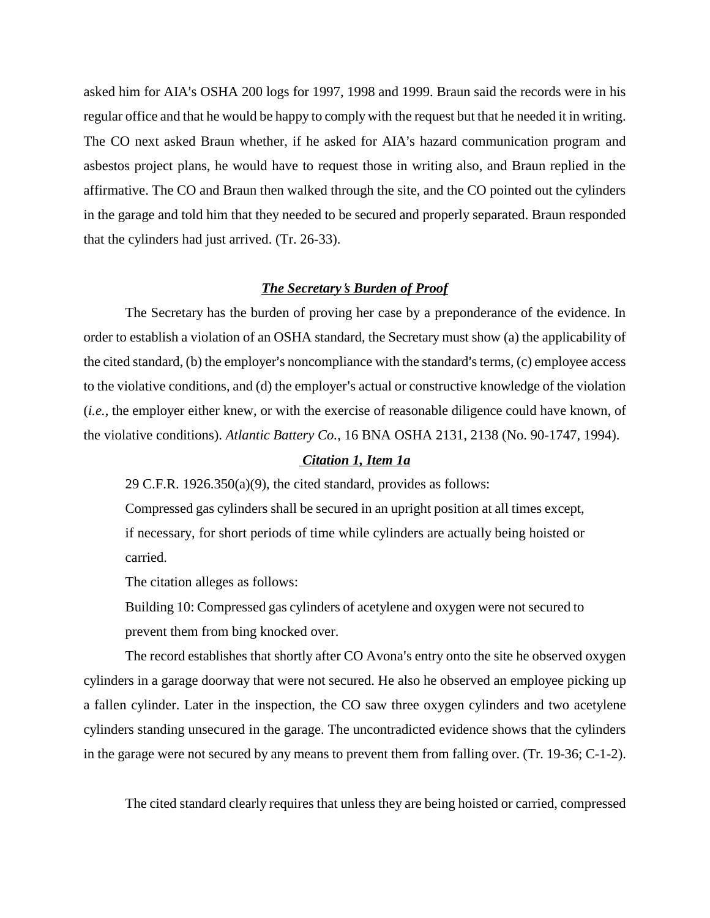asked him for AIA's OSHA 200 logs for 1997, 1998 and 1999. Braun said the records were in his regular office and that he would be happy to comply with the request but that he needed it in writing. The CO next asked Braun whether, if he asked for AIA's hazard communication program and asbestos project plans, he would have to request those in writing also, and Braun replied in the affirmative. The CO and Braun then walked through the site, and the CO pointed out the cylinders in the garage and told him that they needed to be secured and properly separated. Braun responded that the cylinders had just arrived. (Tr. 26-33).

### *The Secretary s Burden of Proof*

The Secretary has the burden of proving her case by a preponderance of the evidence. In order to establish a violation of an OSHA standard, the Secretary must show (a) the applicability of the cited standard, (b) the employer's noncompliance with the standard's terms, (c) employee access to the violative conditions, and (d) the employer's actual or constructive knowledge of the violation (*i.e.*, the employer either knew, or with the exercise of reasonable diligence could have known, of the violative conditions). *Atlantic Battery Co.*, 16 BNA OSHA 2131, 2138 (No. 90-1747, 1994).

## *Citation 1, Item 1a*

29 C.F.R. 1926.350(a)(9), the cited standard, provides as follows:

Compressed gas cylinders shall be secured in an upright position at all times except, if necessary, for short periods of time while cylinders are actually being hoisted or carried.

The citation alleges as follows:

Building 10: Compressed gas cylinders of acetylene and oxygen were not secured to prevent them from bing knocked over.

The record establishes that shortly after CO Avona's entry onto the site he observed oxygen cylinders in a garage doorway that were not secured. He also he observed an employee picking up a fallen cylinder. Later in the inspection, the CO saw three oxygen cylinders and two acetylene cylinders standing unsecured in the garage. The uncontradicted evidence shows that the cylinders in the garage were not secured by any means to prevent them from falling over. (Tr. 19-36; C-1-2).

The cited standard clearly requires that unless they are being hoisted or carried, compressed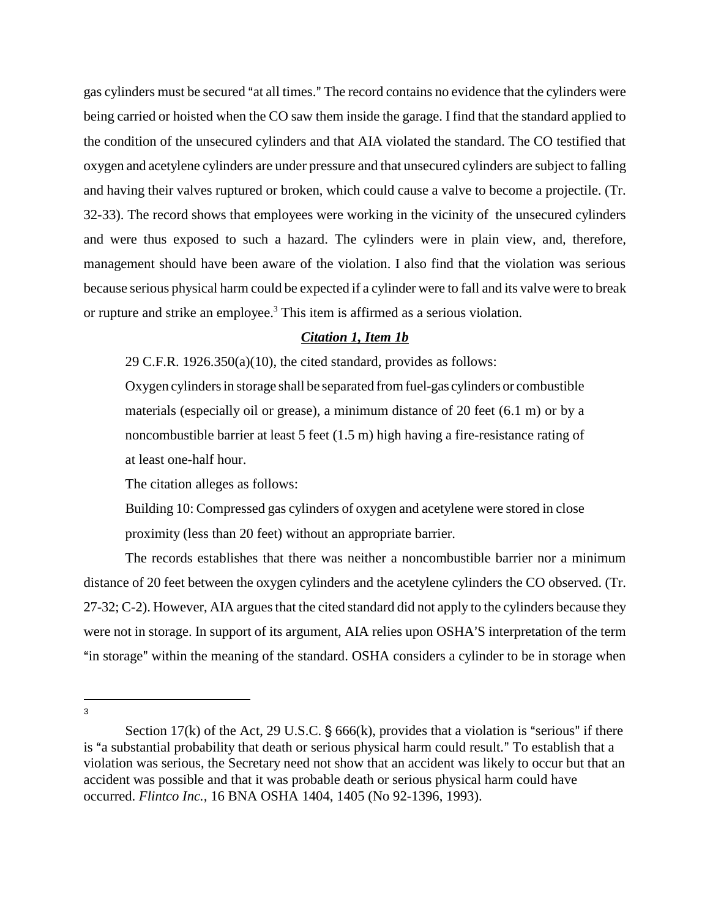gas cylinders must be secured "at all times." The record contains no evidence that the cylinders were being carried or hoisted when the CO saw them inside the garage. I find that the standard applied to the condition of the unsecured cylinders and that AIA violated the standard. The CO testified that oxygen and acetylene cylinders are under pressure and that unsecured cylinders are subject to falling and having their valves ruptured or broken, which could cause a valve to become a projectile. (Tr. 32-33). The record shows that employees were working in the vicinity of the unsecured cylinders and were thus exposed to such a hazard. The cylinders were in plain view, and, therefore, management should have been aware of the violation. I also find that the violation was serious because serious physical harm could be expected if a cylinder were to fall and its valve were to break or rupture and strike an employee.<sup>3</sup> This item is affirmed as a serious violation.

## *Citation 1, Item 1b*

29 C.F.R. 1926.350(a)(10), the cited standard, provides as follows:

Oxygen cylinders in storage shall be separated from fuel-gas cylinders or combustible materials (especially oil or grease), a minimum distance of 20 feet (6.1 m) or by a noncombustible barrier at least 5 feet (1.5 m) high having a fire-resistance rating of at least one-half hour.

The citation alleges as follows:

Building 10: Compressed gas cylinders of oxygen and acetylene were stored in close proximity (less than 20 feet) without an appropriate barrier.

The records establishes that there was neither a noncombustible barrier nor a minimum distance of 20 feet between the oxygen cylinders and the acetylene cylinders the CO observed. (Tr. 27-32; C-2). However, AIA argues that the cited standard did not apply to the cylinders because they were not in storage. In support of its argument, AIA relies upon OSHA'S interpretation of the term "in storage" within the meaning of the standard. OSHA considers a cylinder to be in storage when

Section 17(k) of the Act, 29 U.S.C.  $\S$  666(k), provides that a violation is "serious" if there is "a substantial probability that death or serious physical harm could result." To establish that a violation was serious, the Secretary need not show that an accident was likely to occur but that an accident was possible and that it was probable death or serious physical harm could have occurred. *Flintco Inc.,* 16 BNA OSHA 1404, 1405 (No 92-1396, 1993).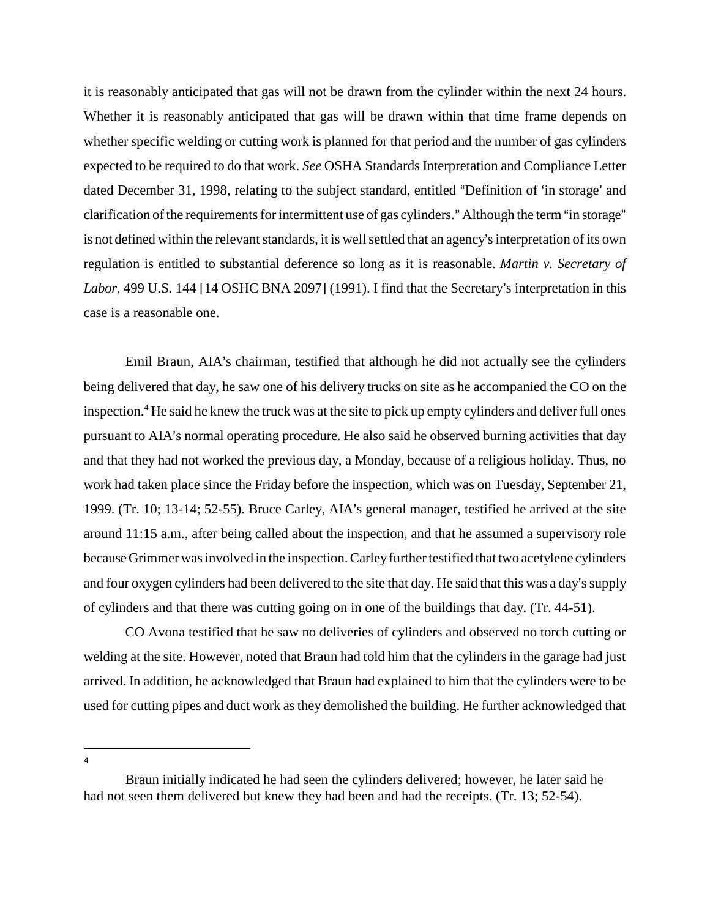it is reasonably anticipated that gas will not be drawn from the cylinder within the next 24 hours. Whether it is reasonably anticipated that gas will be drawn within that time frame depends on whether specific welding or cutting work is planned for that period and the number of gas cylinders expected to be required to do that work. *See* OSHA Standards Interpretation and Compliance Letter dated December 31, 1998, relating to the subject standard, entitled "Definition of 'in storage' and clarification of the requirements for intermittent use of gas cylinders." Although the term "in storage" is not defined within the relevant standards, it is well settled that an agency's interpretation of its own regulation is entitled to substantial deference so long as it is reasonable. *Martin v. Secretary of* Labor, 499 U.S. 144 [14 OSHC BNA 2097] (1991). I find that the Secretary's interpretation in this case is a reasonable one.

Emil Braun, AIA's chairman, testified that although he did not actually see the cylinders being delivered that day, he saw one of his delivery trucks on site as he accompanied the CO on the inspection.<sup>4</sup> He said he knew the truck was at the site to pick up empty cylinders and deliver full ones pursuant to AIA's normal operating procedure. He also said he observed burning activities that day and that they had not worked the previous day, a Monday, because of a religious holiday. Thus, no work had taken place since the Friday before the inspection, which was on Tuesday, September 21, 1999. (Tr. 10; 13-14; 52-55). Bruce Carley, AIA's general manager, testified he arrived at the site around 11:15 a.m., after being called about the inspection, and that he assumed a supervisory role because Grimmer was involved in the inspection. Carley further testified that two acetylene cylinders and four oxygen cylinders had been delivered to the site that day. He said that this was a day's supply of cylinders and that there was cutting going on in one of the buildings that day. (Tr. 44-51).

CO Avona testified that he saw no deliveries of cylinders and observed no torch cutting or welding at the site. However, noted that Braun had told him that the cylinders in the garage had just arrived. In addition, he acknowledged that Braun had explained to him that the cylinders were to be used for cutting pipes and duct work as they demolished the building. He further acknowledged that

Braun initially indicated he had seen the cylinders delivered; however, he later said he had not seen them delivered but knew they had been and had the receipts. (Tr. 13; 52-54).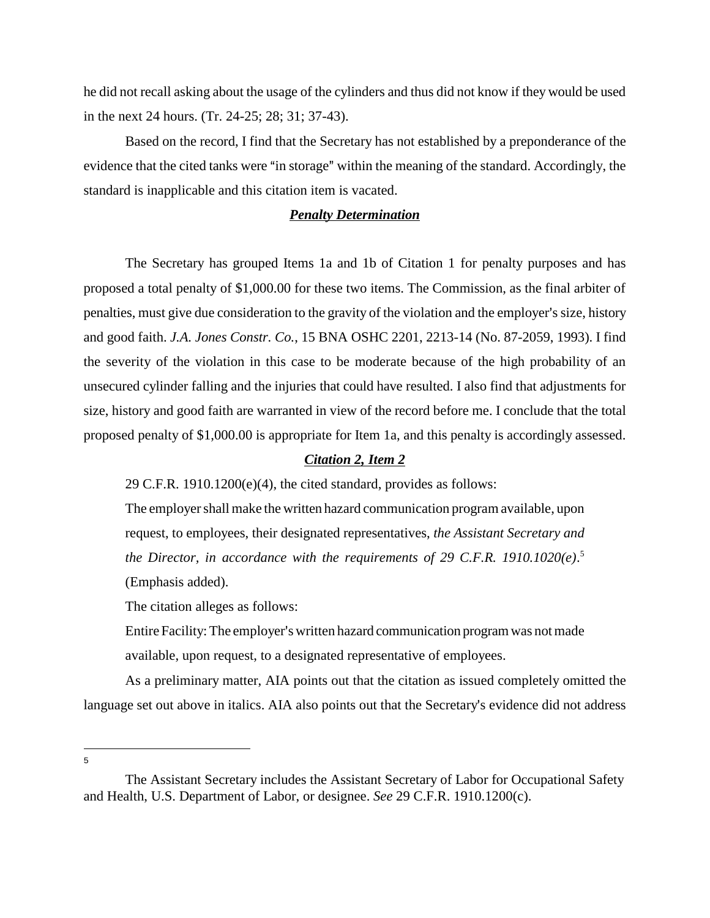he did not recall asking about the usage of the cylinders and thus did not know if they would be used in the next 24 hours. (Tr. 24-25; 28; 31; 37-43).

Based on the record, I find that the Secretary has not established by a preponderance of the evidence that the cited tanks were "in storage" within the meaning of the standard. Accordingly, the standard is inapplicable and this citation item is vacated.

### *Penalty Determination*

The Secretary has grouped Items 1a and 1b of Citation 1 for penalty purposes and has proposed a total penalty of \$1,000.00 for these two items. The Commission, as the final arbiter of penalties, must give due consideration to the gravity of the violation and the employer s size, history and good faith. *J.A. Jones Constr. Co.*, 15 BNA OSHC 2201, 2213-14 (No. 87-2059, 1993). I find the severity of the violation in this case to be moderate because of the high probability of an unsecured cylinder falling and the injuries that could have resulted. I also find that adjustments for size, history and good faith are warranted in view of the record before me. I conclude that the total proposed penalty of \$1,000.00 is appropriate for Item 1a, and this penalty is accordingly assessed.

### *Citation 2, Item 2*

29 C.F.R. 1910.1200(e)(4), the cited standard, provides as follows:

The employer shall make the written hazard communication program available, upon request, to employees, their designated representatives, *the Assistant Secretary and the Director, in accordance with the requirements of 29 C.F.R. 1910.1020(e)*. 5 (Emphasis added).

The citation alleges as follows:

Entire Facility: The employer's written hazard communication program was not made available, upon request, to a designated representative of employees.

As a preliminary matter, AIA points out that the citation as issued completely omitted the language set out above in italics. AIA also points out that the Secretary's evidence did not address

The Assistant Secretary includes the Assistant Secretary of Labor for Occupational Safety and Health, U.S. Department of Labor, or designee. *See* 29 C.F.R. 1910.1200(c).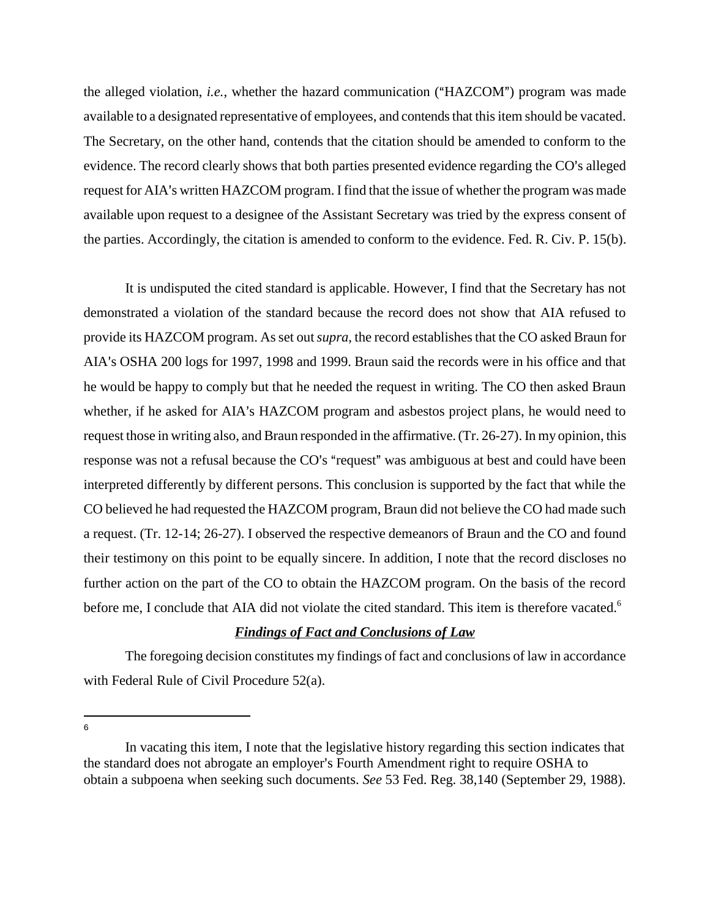the alleged violation, *i.e.*, whether the hazard communication ("HAZCOM") program was made available to a designated representative of employees, and contends that this item should be vacated. The Secretary, on the other hand, contends that the citation should be amended to conform to the evidence. The record clearly shows that both parties presented evidence regarding the CO's alleged request for AIA's written HAZCOM program. I find that the issue of whether the program was made available upon request to a designee of the Assistant Secretary was tried by the express consent of the parties. Accordingly, the citation is amended to conform to the evidence. Fed. R. Civ. P. 15(b).

It is undisputed the cited standard is applicable. However, I find that the Secretary has not demonstrated a violation of the standard because the record does not show that AIA refused to provide its HAZCOM program. As set out *supra*, the record establishes that the CO asked Braun for AIA s OSHA 200 logs for 1997, 1998 and 1999. Braun said the records were in his office and that he would be happy to comply but that he needed the request in writing. The CO then asked Braun whether, if he asked for AIA's HAZCOM program and asbestos project plans, he would need to request those in writing also, and Braun responded in the affirmative. (Tr. 26-27). In my opinion, this response was not a refusal because the CO's "request" was ambiguous at best and could have been interpreted differently by different persons. This conclusion is supported by the fact that while the CO believed he had requested the HAZCOM program, Braun did not believe the CO had made such a request. (Tr. 12-14; 26-27). I observed the respective demeanors of Braun and the CO and found their testimony on this point to be equally sincere. In addition, I note that the record discloses no further action on the part of the CO to obtain the HAZCOM program. On the basis of the record before me, I conclude that AIA did not violate the cited standard. This item is therefore vacated.<sup>6</sup>

# *Findings of Fact and Conclusions of Law*

The foregoing decision constitutes my findings of fact and conclusions of law in accordance with Federal Rule of Civil Procedure 52(a).

In vacating this item, I note that the legislative history regarding this section indicates that the standard does not abrogate an employer's Fourth Amendment right to require OSHA to obtain a subpoena when seeking such documents. *See* 53 Fed. Reg. 38,140 (September 29, 1988).